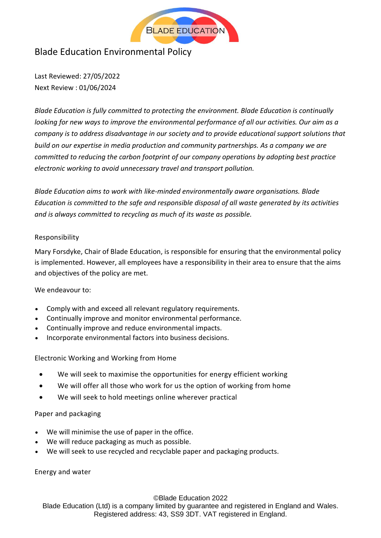

# Blade Education Environmental Policy

Last Reviewed: 27/05/2022 Next Review : 01/06/2024

*Blade Education is fully committed to protecting the environment. Blade Education is continually looking for new ways to improve the environmental performance of all our activities. Our aim as a company is to address disadvantage in our society and to provide educational support solutions that build on our expertise in media production and community partnerships. As a company we are committed to reducing the carbon footprint of our company operations by adopting best practice electronic working to avoid unnecessary travel and transport pollution.*

*Blade Education aims to work with like-minded environmentally aware organisations. Blade Education is committed to the safe and responsible disposal of all waste generated by its activities and is always committed to recycling as much of its waste as possible.*

# Responsibility

Mary Forsdyke, Chair of Blade Education, is responsible for ensuring that the environmental policy is implemented. However, all employees have a responsibility in their area to ensure that the aims and objectives of the policy are met.

# We endeavour to:

- Comply with and exceed all relevant regulatory requirements.
- Continually improve and monitor environmental performance.
- Continually improve and reduce environmental impacts.
- Incorporate environmental factors into business decisions.

Electronic Working and Working from Home

- We will seek to maximise the opportunities for energy efficient working
- We will offer all those who work for us the option of working from home
- We will seek to hold meetings online wherever practical

# Paper and packaging

- We will minimise the use of paper in the office.
- We will reduce packaging as much as possible.
- We will seek to use recycled and recyclable paper and packaging products.

Energy and water

©Blade Education 2022

Blade Education (Ltd) is a company limited by guarantee and registered in England and Wales. Registered address: 43, SS9 3DT. VAT registered in England.